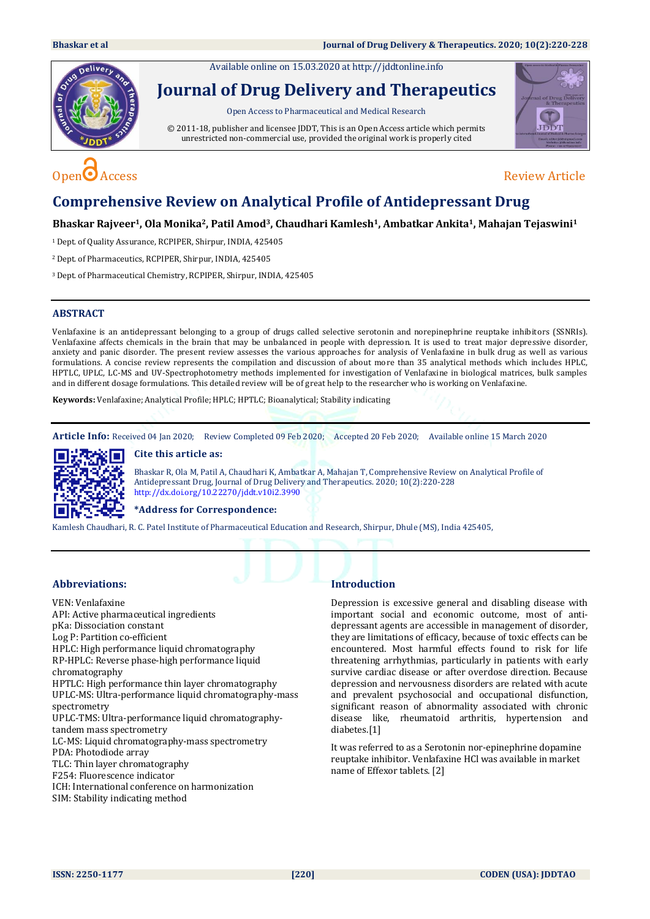Available online on 15.03.2020 at [http://jddtonline.info](http://jddtonline.info/)



# **Journal of Drug Delivery and Therapeutics**

Open Access to Pharmaceutical and Medical Research

© 2011-18, publisher and licensee JDDT, This is an Open Access article which permits unrestricted non-commercial use, provided the original work is properly cited



# $Open^{\bigodot}$  Access Review Article

# **Comprehensive Review on Analytical Profile of Antidepressant Drug**

#### **Bhaskar Rajveer1, Ola Monika2, Patil Amod3, Chaudhari Kamlesh1, Ambatkar Ankita1, Mahajan Tejaswini<sup>1</sup>**

<sup>1</sup> Dept. of Quality Assurance, RCPIPER, Shirpur, INDIA, 425405

<sup>2</sup>Dept. of Pharmaceutics, RCPIPER, Shirpur, INDIA, 425405

<sup>3</sup>Dept. of Pharmaceutical Chemistry, RCPIPER, Shirpur, INDIA, 425405

#### **ABSTRACT**

Venlafaxine is an antidepressant belonging to a group of drugs called selective serotonin and norepinephrine reuptake inhibitors (SSNRIs). Venlafaxine affects chemicals in the brain that may be unbalanced in people with depression. It is used to treat major depressive disorder, anxiety and panic disorder. The present review assesses the various approaches for analysis of Venlafaxine in bulk drug as well as various formulations. A concise review represents the compilation and discussion of about more than 35 analytical methods which includes HPLC, HPTLC, UPLC, LC-MS and UV-Spectrophotometry methods implemented for investigation of Venlafaxine in biological matrices, bulk samples and in different dosage formulations. This detailed review will be of great help to the researcher who is working on Venlafaxine.

**Keywords:** Venlafaxine; Analytical Profile; HPLC; HPTLC; Bioanalytical; Stability indicating

**Article Info:** Received 04 Jan 2020; Review Completed 09 Feb 2020; Accepted 20 Feb 2020; Available online 15 March 2020

#### **Cite this article as:**



Bhaskar R, Ola M, Patil A, Chaudhari K, Ambatkar A, Mahajan T, Comprehensive Review on Analytical Profile of Antidepressant Drug, Journal of Drug Delivery and Therapeutics. 2020; 10(2):220-228 <http://dx.doi.org/10.22270/jddt.v10i2.3990>

#### **\*Address for Correspondence:**

Kamlesh Chaudhari, R. C. Patel Institute of Pharmaceutical Education and Research, Shirpur, Dhule (MS), India 425405,

#### **Abbreviations:**

VEN: Venlafaxine API: Active pharmaceutical ingredients pKa: Dissociation constant Log P: Partition co-efficient HPLC: High performance liquid chromatography RP-HPLC: Reverse phase-high performance liquid chromatography HPTLC: High performance thin layer chromatography UPLC-MS: Ultra-performance liquid chromatography-mass spectrometry UPLC-TMS: Ultra-performance liquid chromatographytandem mass spectrometry LC-MS: Liquid chromatography-mass spectrometry PDA: Photodiode array TLC: Thin layer chromatography F254: Fluorescence indicator ICH: International conference on harmonization

SIM: Stability indicating method

### **Introduction**

Depression is excessive general and disabling disease with important social and economic outcome, most of antidepressant agents are accessible in management of disorder, they are limitations of efficacy, because of toxic effects can be encountered. Most harmful effects found to risk for life threatening arrhythmias, particularly in patients with early survive cardiac disease or after overdose direction. Because depression and nervousness disorders are related with acute and prevalent psychosocial and occupational disfunction, significant reason of abnormality associated with chronic disease like, rheumatoid arthritis, hypertension and diabetes.[1]

It was referred to as a Serotonin nor-epinephrine dopamine reuptake inhibitor. Venlafaxine HCl was available in market name of Effexor tablets. [2]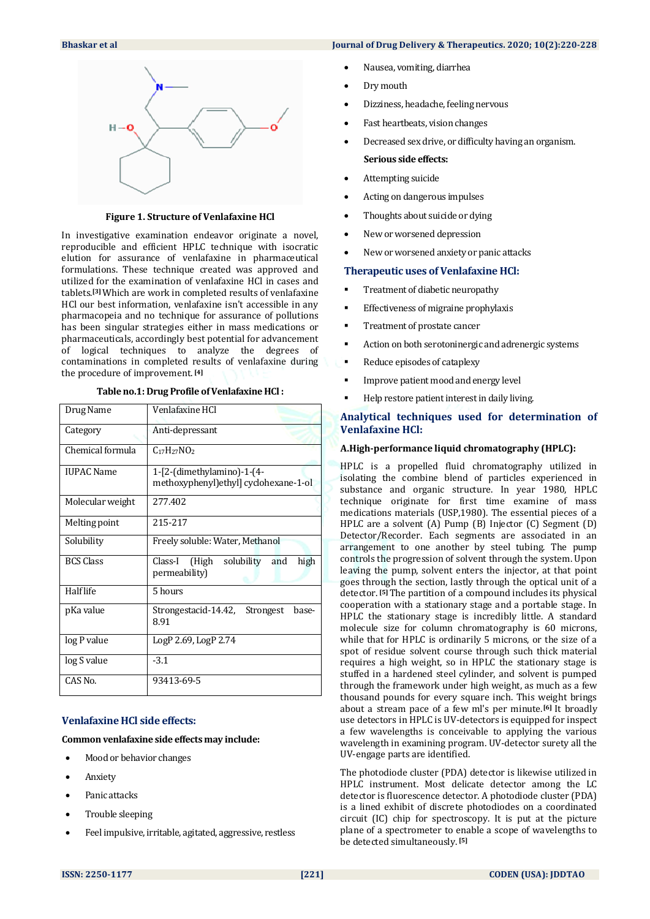

**Figure 1. Structure of Venlafaxine HCl**

In investigative examination endeavor originate a novel, reproducible and efficient HPLC technique with isocratic elution for assurance of venlafaxine in pharmaceutical formulations. These technique created was approved and utilized for the examination of venlafaxine HCl in cases and tablets.**[3]** Which are work in completed results of venlafaxine HCl our best information, venlafaxine isn't accessible in any pharmacopeia and no technique for assurance of pollutions has been singular strategies either in mass medications or pharmaceuticals, accordingly best potential for advancement of logical techniques to analyze the degrees of contaminations in completed results of venlafaxine during the procedure of improvement. **[4]**

| Table no.1: Drug Profile of Venlafaxine HCl: |  |
|----------------------------------------------|--|
|                                              |  |

| Drug Name         | Venlafaxine HCl                                                    |
|-------------------|--------------------------------------------------------------------|
| Category          | Anti-depressant                                                    |
| Chemical formula  | $C_{17}H_{27}NO_2$                                                 |
| <b>IUPAC Name</b> | $1-[2-(dimension)-1-(4-$<br>methoxyphenyl) ethyl] cyclohexane-1-ol |
| Molecular weight  | 277.402                                                            |
| Melting point     | 215-217                                                            |
| Solubility        | Freely soluble: Water, Methanol                                    |
| <b>BCS Class</b>  | (High<br>solubility<br>and<br>high<br>Class-I<br>permeability)     |
| Half life         | 5 hours                                                            |
| pKa value         | Strongestacid-14.42, Strongest<br>base-<br>8.91                    |
| log P value       | LogP 2.69, LogP 2.74                                               |
| log S value       | $-3.1$                                                             |
| CAS No.           | 93413-69-5                                                         |

#### **Venlafaxine HCl side effects:**

#### **Common venlafaxine side effects may include:**

- Mood or behavior changes
- Anxiety
- Panic attacks
- Trouble sleeping
- Feel impulsive, irritable, agitated, aggressive, restless

#### **Bhaskar et al Journal of Drug Delivery & Therapeutics. 2020; 10(2):220-228**

- Nausea, vomiting, diarrhea
- Dry mouth
- Dizziness, headache, feeling nervous
- Fast heartbeats, vision changes
- Decreased sex drive, or difficulty having an organism. **Serious side effects:**
- Attempting suicide
- Acting on dangerous impulses
- Thoughts about suicide or dying
- New or worsened depression
- New or worsened anxiety or panic attacks

#### **Therapeutic uses of Venlafaxine HCl:**

- Treatment of diabetic neuropathy
- Effectiveness of migraine prophylaxis
- Treatment of prostate cancer
- Action on both serotoninergic and adrenergic systems
- Reduce episodes of cataplexy
- Improve patient mood and energy level
- Help restore patient interest in daily living.

#### **Analytical techniques used for determination of Venlafaxine HCl:**

#### **A.High-performance liquid chromatography (HPLC):**

HPLC is a propelled fluid chromatography utilized in isolating the combine blend of particles experienced in substance and organic structure. In year 1980, HPLC technique originate for first time examine of mass medications materials (USP,1980). The essential pieces of a HPLC are a solvent (A) Pump (B) Injector (C) Segment (D) Detector/Recorder. Each segments are associated in an arrangement to one another by steel tubing. The pump controls the progression of solvent through the system. Upon leaving the pump, solvent enters the injector, at that point goes through the section, lastly through the optical unit of a detector. **[5]** The partition of a compound includes its physical cooperation with a stationary stage and a portable stage. In HPLC the stationary stage is incredibly little. A standard molecule size for column chromatography is 60 microns, while that for HPLC is ordinarily 5 microns, or the size of a spot of residue solvent course through such thick material requires a high weight, so in HPLC the stationary stage is stuffed in a hardened steel cylinder, and solvent is pumped through the framework under high weight, as much as a few thousand pounds for every square inch. This weight brings about a stream pace of a few ml's per minute.**[6]** It broadly use detectors in HPLC is UV-detectors is equipped for inspect a few wavelengths is conceivable to applying the various wavelength in examining program. UV-detector surety all the UV-engage parts are identified.

The photodiode cluster (PDA) detector is likewise utilized in HPLC instrument. Most delicate detector among the LC detector is fluorescence detector. A photodiode cluster (PDA) is a lined exhibit of discrete photodiodes on a coordinated circuit (IC) chip for spectroscopy. It is put at the picture plane of a spectrometer to enable a scope of wavelengths to be detected simultaneously. **[5]**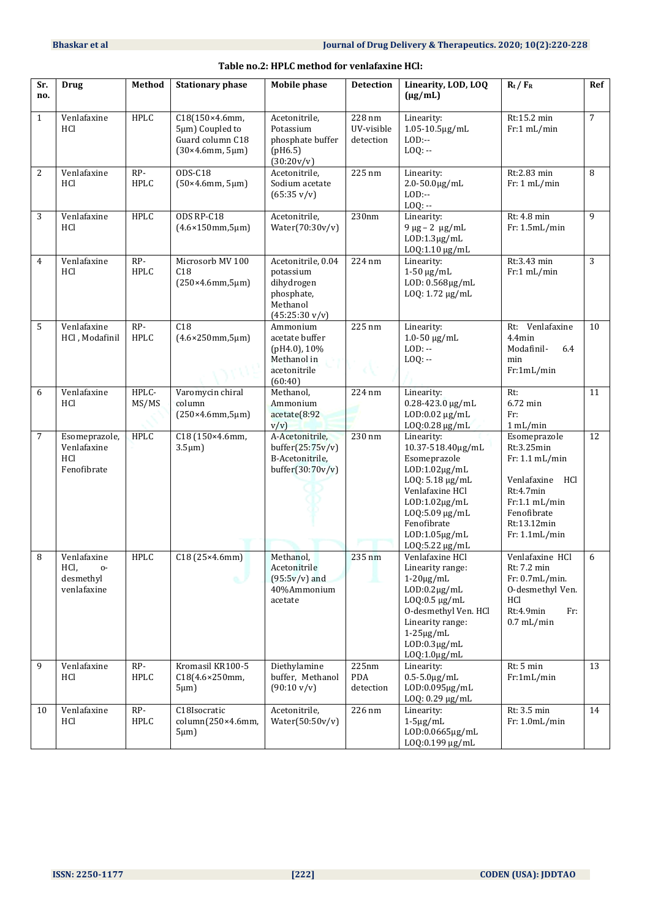| Sr.<br>no.     | <b>Drug</b>                                           | Method               | <b>Stationary phase</b>                                                  | <b>Mobile phase</b>                                                                                 | <b>Detection</b>                  | Linearity, LOD, LOQ<br>$(\mu g/mL)$                                                                                                                                                                            | $R_t / F_R$                                                                                                                                     | Ref            |
|----------------|-------------------------------------------------------|----------------------|--------------------------------------------------------------------------|-----------------------------------------------------------------------------------------------------|-----------------------------------|----------------------------------------------------------------------------------------------------------------------------------------------------------------------------------------------------------------|-------------------------------------------------------------------------------------------------------------------------------------------------|----------------|
| $\mathbf{1}$   | Venlafaxine<br>HCl                                    | <b>HPLC</b>          | C18(150×4.6mm,<br>5µm) Coupled to<br>Guard column C18<br>(30×4.6mm, 5µm) | Acetonitrile,<br>Potassium<br>phosphate buffer<br>(pH6.5)<br>(30:20v/v)                             | 228 nm<br>UV-visible<br>detection | Linearity:<br>1.05-10.5µg/mL<br>$LOD:$ --<br>$LOQ: -$                                                                                                                                                          | Rt:15.2 min<br>Fr:1 mL/min                                                                                                                      | $\overline{7}$ |
| $\overline{c}$ | Venlafaxine<br>HCl                                    | $RP-$<br><b>HPLC</b> | ODS-C18<br>(50×4.6mm, 5µm)                                               | Acetonitrile,<br>Sodium acetate<br>$(65:35 \text{ v}/\text{v})$                                     | 225 nm                            | Linearity:<br>$2.0 - 50.0 \,\text{µg/mL}$<br>$LOD: -$<br>$LOQ: -$                                                                                                                                              | Rt:2.83 min<br>Fr: 1 mL/min                                                                                                                     | 8              |
| 3              | Venlafaxine<br>HCl                                    | <b>HPLC</b>          | ODS RP-C18<br>$(4.6 \times 150$ mm, $5 \mu m)$                           | Acetonitrile,<br>Water(70:30v/v)                                                                    | 230nm                             | Linearity:<br>$9 \mu g - 2 \mu g/mL$<br>$LOD:1.3\mu g/mL$<br>LOQ:1.10 µg/mL                                                                                                                                    | Rt: 4.8 min<br>Fr: 1.5mL/min                                                                                                                    | 9              |
| 4              | Venlafaxine<br>HCl                                    | RP-<br><b>HPLC</b>   | Microsorb MV 100<br>C18<br>(250×4.6mm, 5µm)                              | Acetonitrile, 0.04<br>potassium<br>dihydrogen<br>phosphate,<br>Methanol<br>$(45:25:30 \text{ v/v})$ | 224 nm                            | Linearity:<br>$1-50 \mu g/mL$<br>LOD: 0.568µg/mL<br>LOQ: 1.72 µg/mL                                                                                                                                            | Rt:3.43 min<br>Fr:1 mL/min                                                                                                                      | 3              |
| 5              | Venlafaxine<br>HCl, Modafinil                         | RP-<br>HPLC          | C18<br>$(4.6 \times 250$ mm, $5 \mu m)$                                  | Ammonium<br>acetate buffer<br>(pH4.0), 10%<br>Methanol in<br>acetonitrile<br>(60:40)                | 225 nm                            | Linearity:<br>$1.0 - 50 \mu g/mL$<br>$LOD: -$<br>$LOQ: -$                                                                                                                                                      | Rt: Venlafaxine<br>$4.4$ min<br>Modafinil-<br>6.4<br>min<br>Fr:1mL/min                                                                          | 10             |
| 6              | Venlafaxine<br>HCl                                    | HPLC-<br>MS/MS       | Varomycin chiral<br>column<br>(250×4.6mm, 5µm)                           | Methanol,<br>Ammonium<br>acetate(8:92<br>V/V                                                        | 224 nm                            | Linearity:<br>$0.28 - 423.0$ µg/mL<br>LOD:0.02 µg/mL<br>$LOQ: 0.28 \mu g/mL$                                                                                                                                   | Rt:<br>6.72 min<br>Fr:<br>1 mL/min                                                                                                              | 11             |
| 7              | Esomeprazole,<br>Venlafaxine<br>HCl<br>Fenofibrate    | <b>HPLC</b>          | C18 (150×4.6mm,<br>$3.5 \mu m$ )                                         | A-Acetonitrile,<br>buffer $(25:75v/v)$<br>B-Acetonitrile,<br>buffer $(30:70v/v)$                    | 230 nm                            | Linearity:<br>10.37-518.40µg/mL<br>Esomeprazole<br>$LOD:1.02\mu g/mL$<br>LOQ: 5.18 µg/mL<br>Venlafaxine HCl<br>$LOD:1.02\mu g/mL$<br>LOQ:5.09 µg/mL<br>Fenofibrate<br>$LOD:1.05\mu g/mL$<br>LOQ:5.22 µg/mL     | Esomeprazole<br>Rt:3.25min<br>Fr: 1.1 mL/min<br>Venlafaxine<br>HCl<br>Rt:4.7min<br>Fr:1.1 mL/min<br>Fenofibrate<br>Rt:13.12min<br>Fr: 1.1mL/min | 12             |
| 8              | Venlafaxine<br>HCI,<br>о-<br>desmethyl<br>venlafaxine | <b>HPLC</b>          | C18(25×4.6mm)<br>a.P                                                     | Methanol,<br>Acetonitrile<br>$(95:5v/v)$ and<br>40%Ammonium<br>acetate                              | 235 nm                            | Venlafaxine HCl<br>Linearity range:<br>$1-20\mu g/mL$<br>$LOD: 0.2 \mu g/mL$<br>$LOQ: 0.5 \mu g/mL$<br>O-desmethyl Ven. HCl<br>Linearity range:<br>$1-25\mu g/mL$<br>$LOD: 0.3 \mu g/mL$<br>$LOQ:1.0 \mu g/mL$ | Venlafaxine HCl<br>Rt: 7.2 min<br>Fr: 0.7mL/min.<br>O-desmethyl Ven.<br>HCl<br>Rt:4.9min<br>Fr:<br>$0.7$ mL/min                                 | 6              |
| 9              | Venlafaxine<br>HCl                                    | RP-<br><b>HPLC</b>   | Kromasil KR100-5<br>C18(4.6×250mm,<br>$5 \mu m$ )                        | Diethylamine<br>buffer, Methanol<br>$(90:10 \text{ v/v})$                                           | 225nm<br><b>PDA</b><br>detection  | Linearity:<br>$0.5 - 5.0 \mu g/mL$<br>LOD:0.095µg/mL<br>$LOQ: 0.29 \mu g/mL$                                                                                                                                   | Rt: 5 min<br>Fr:1mL/min                                                                                                                         | 13             |
| 10             | Venlafaxine<br>HCl                                    | RP-<br>HPLC          | C18Isocratic<br>column(250×4.6mm,<br>$5 \mu m$ )                         | Acetonitrile,<br>Water $(50:50v/v)$                                                                 | 226 nm                            | Linearity:<br>$1-5\mu g/mL$<br>LOD:0.0665µg/mL<br>LOQ:0.199 µg/mL                                                                                                                                              | Rt: 3.5 min<br>Fr: 1.0mL/min                                                                                                                    | 14             |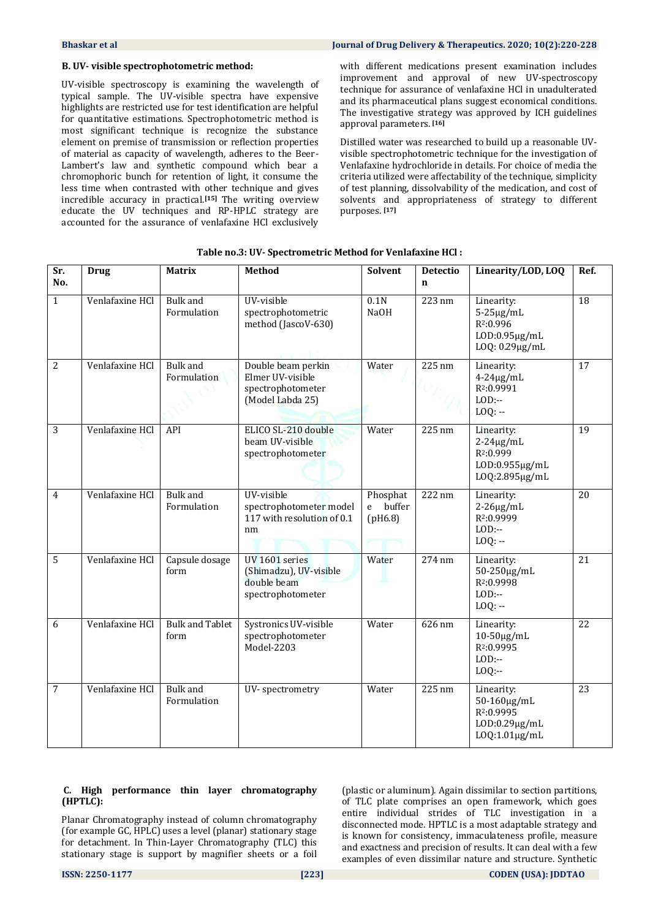#### **B. UV- visible spectrophotometric method:**

UV-visible spectroscopy is examining the wavelength of typical sample. The UV-visible spectra have expensive highlights are restricted use for test identification are helpful for quantitative estimations. Spectrophotometric method is most significant technique is recognize the substance element on premise of transmission or reflection properties of material as capacity of wavelength, adheres to the Beer-Lambert's law and synthetic compound which bear a chromophoric bunch for retention of light, it consume the less time when contrasted with other technique and gives incredible accuracy in practical.**[15]** The writing overview educate the UV techniques and RP-HPLC strategy are accounted for the assurance of venlafaxine HCl exclusively

with different medications present examination includes improvement and approval of new UV-spectroscopy technique for assurance of venlafaxine HCl in unadulterated and its pharmaceutical plans suggest economical conditions. The investigative strategy was approved by ICH guidelines approval parameters. **[16]**

Distilled water was researched to build up a reasonable UVvisible spectrophotometric technique for the investigation of Venlafaxine hydrochloride in details. For choice of media the criteria utilized were affectability of the technique, simplicity of test planning, dissolvability of the medication, and cost of solvents and appropriateness of strategy to different purposes. **[17]**

| Sr.<br>No.     | <b>Drug</b>     | <b>Matrix</b>                  | <b>Method</b>                                                                   | <b>Solvent</b>                  | Detectio<br>$\mathbf n$ | Linearity/LOD, LOQ                                                                             | Ref. |
|----------------|-----------------|--------------------------------|---------------------------------------------------------------------------------|---------------------------------|-------------------------|------------------------------------------------------------------------------------------------|------|
| $\mathbf{1}$   | Venlafaxine HCl | Bulk and<br>Formulation        | UV-visible<br>spectrophotometric<br>method (JascoV-630)                         | 0.1N<br><b>NaOH</b>             | 223 nm                  | Linearity:<br>$5-25\mu g/mL$<br>R <sub>2:0.996</sub><br>$LOD: 0.95 \mu g/mL$<br>LOQ: 0.29µg/mL | 18   |
| $\overline{2}$ | Venlafaxine HCl | <b>Bulk</b> and<br>Formulation | Double beam perkin<br>Elmer UV-visible<br>spectrophotometer<br>(Model Labda 25) | Water                           | $225 \text{ nm}$        | Linearity:<br>$4-24\mu g/mL$<br>R <sub>2</sub> :0.9991<br>$LOD$ :--<br>$LOQ: -$                | 17   |
| 3              | Venlafaxine HCl | API                            | ELICO SL-210 double<br>beam UV-visible<br>spectrophotometer                     | Water                           | 225 nm                  | Linearity:<br>$2 - 24\mu g/mL$<br>R <sub>2</sub> :0.999<br>LOD:0.955µg/mL<br>LOQ:2.895µg/mL    | 19   |
| 4              | Venlafaxine HCl | <b>Bulk</b> and<br>Formulation | UV-visible<br>spectrophotometer model<br>117 with resolution of 0.1<br>nm       | Phosphat<br>e buffer<br>(pH6.8) | 222 nm                  | Linearity:<br>$2-26\mu g/mL$<br>R <sub>2</sub> :0.9999<br>$LOD$ :--<br>$LOQ: -$                | 20   |
| 5              | Venlafaxine HCl | Capsule dosage<br>form         | UV 1601 series<br>(Shimadzu), UV-visible<br>double beam<br>spectrophotometer    | Water                           | 274 nm                  | Linearity:<br>50-250μg/mL<br>R <sup>2</sup> :0.9998<br>$LOD$ :--<br>$LOQ: -$                   | 21   |
| 6              | Venlafaxine HCl | <b>Bulk and Tablet</b><br>form | Systronics UV-visible<br>spectrophotometer<br>Model-2203                        | Water                           | 626 nm                  | Linearity:<br>10-50μg/mL<br>R <sub>2</sub> :0.9995<br>$LOD$ :--<br>$LOQ$ :--                   | 22   |
| 7              | Venlafaxine HCl | <b>Bulk</b> and<br>Formulation | UV-spectrometry                                                                 | Water                           | 225 nm                  | Linearity:<br>50-160μg/mL<br>R <sub>2</sub> :0.9995<br>$LOD: 0.29 \mu g/mL$<br>LOQ:1.01µg/mL   | 23   |

#### **Table no.3: UV- Spectrometric Method for Venlafaxine HCl :**

#### **C. High performance thin layer chromatography (HPTLC):**

Planar Chromatography instead of column chromatography (for example GC, HPLC) uses a level (planar) stationary stage for detachment. In Thin-Layer Chromatography (TLC) this stationary stage is support by magnifier sheets or a foil (plastic or aluminum). Again dissimilar to section partitions, of TLC plate comprises an open framework, which goes entire individual strides of TLC investigation in a disconnected mode. HPTLC is a most adaptable strategy and is known for consistency, immaculateness profile, measure and exactness and precision of results. It can deal with a few examples of even dissimilar nature and structure. Synthetic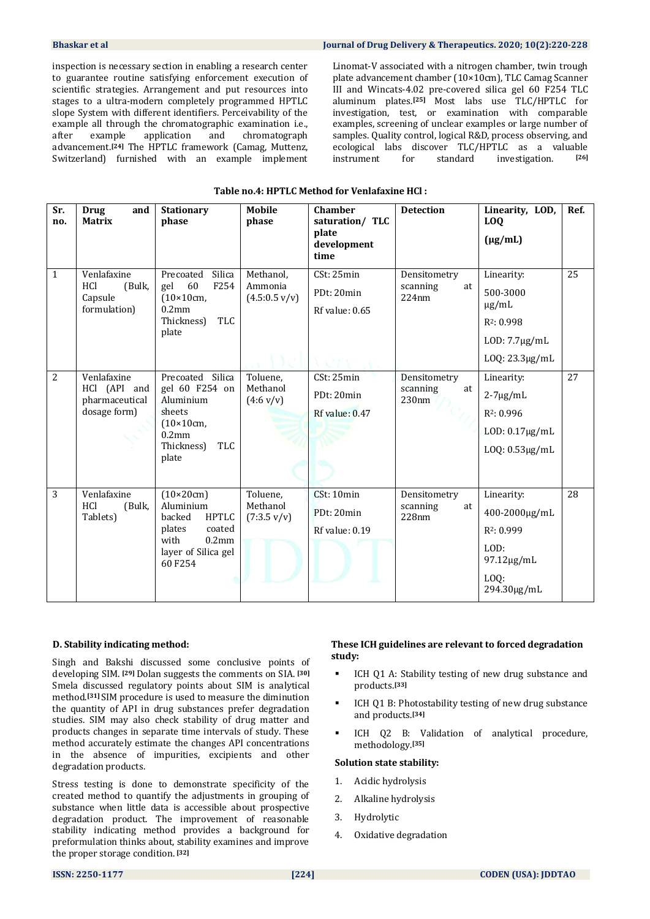inspection is necessary section in enabling a research center to guarantee routine satisfying enforcement execution of scientific strategies. Arrangement and put resources into stages to a ultra-modern completely programmed HPTLC slope System with different identifiers. Perceivability of the example all through the chromatographic examination i.e., after example application and chromatograph after example application and chromatograph advancement.**[24]** The HPTLC framework (Camag, Muttenz, Switzerland) furnished with an example implement Linomat-V associated with a nitrogen chamber, twin trough plate advancement chamber (10×10cm), TLC Camag Scanner III and Wincats-4.02 pre-covered silica gel 60 F254 TLC aluminum plates.**[25]** Most labs use TLC/HPTLC for investigation, test, or examination with comparable examples, screening of unclear examples or large number of samples. Quality control, logical R&D, process observing, and ecological labs discover TLC/HPTLC as a valuable instrument for standard investigation. **[26]**

| Table no.4: HPTLC Method for Venlafaxine HCl: |  |
|-----------------------------------------------|--|
|-----------------------------------------------|--|

| Sr.<br>no.                     | <b>Drug</b><br>and<br><b>Matrix</b>                           | <b>Stationary</b><br>phase                                                                                                        | <b>Mobile</b><br>phase                        | <b>Chamber</b><br>saturation/ TLC<br>plate<br>development<br>time | <b>Detection</b>                        | Linearity, LOD,<br><b>LOQ</b><br>$(\mu g/mL)$                                                          | Ref. |
|--------------------------------|---------------------------------------------------------------|-----------------------------------------------------------------------------------------------------------------------------------|-----------------------------------------------|-------------------------------------------------------------------|-----------------------------------------|--------------------------------------------------------------------------------------------------------|------|
| $\mathbf{1}$<br>$\overline{2}$ | Venlafaxine<br>HCl<br>(Bulk,<br>Capsule<br>formulation)       | Silica<br>Precoated<br>60<br>F <sub>254</sub><br>gel<br>$(10\times10cm)$<br>0.2 <sub>mm</sub><br>TLC<br>Thickness)<br>plate       | Methanol,<br>Ammonia<br>(4.5:0.5 v/v)         | CSt: 25min<br>PDt: 20min<br>Rf value: 0.65                        | Densitometry<br>scanning<br>at<br>224nm | Linearity:<br>500-3000<br>$\mu$ g/mL<br>R <sub>2</sub> : 0.998<br>$LOD: 7.7\mu g/mL$<br>LOQ: 23.3µg/mL | 25   |
|                                | Venlafaxine<br>HCl (API and<br>pharmaceutical<br>dosage form) | Precoated Silica<br>gel 60 F254 on<br>Aluminium<br>sheets<br>$(10\times10cm)$<br>$0.2$ mm<br><b>TLC</b><br>Thickness)<br>plate    | Toluene,<br>Methanol<br>$(4.6 \text{ v/v})$   | CSt: 25min<br>PDt: 20min<br>Rf value: 0.47                        | Densitometry<br>scanning<br>at<br>230nm | Linearity:<br>$2 - 7\mu g/mL$<br>R <sub>2</sub> : 0.996<br>$LOD: 0.17 \mu g/mL$<br>$LOQ: 0.53\mu g/mL$ | 27   |
| 3                              | Venlafaxine<br>HCl<br>(Bulk,<br>Tablets)                      | $(10\times20cm)$<br>Aluminium<br><b>HPTLC</b><br>backed<br>coated<br>plates<br>with<br>$0.2$ mm<br>layer of Silica gel<br>60 F254 | Toluene,<br>Methanol<br>$(7:3.5 \text{ v/v})$ | CSt: 10min<br>PDt: 20min<br>Rf value: 0.19                        | Densitometry<br>scanning<br>at<br>228nm | Linearity:<br>400-2000μg/mL<br>$R^2: 0.999$<br>LOD:<br>97.12µg/mL<br>$LOQ$ :<br>294.30µg/mL            | 28   |

#### **D. Stability indicating method:**

Singh and Bakshi discussed some conclusive points of developing SIM. **[29]** Dolan suggests the comments on SIA. **[30]**  Smela discussed regulatory points about SIM is analytical method.**[31]** SIM procedure is used to measure the diminution the quantity of API in drug substances prefer degradation studies. SIM may also check stability of drug matter and products changes in separate time intervals of study. These method accurately estimate the changes API concentrations in the absence of impurities, excipients and other degradation products.

Stress testing is done to demonstrate specificity of the created method to quantify the adjustments in grouping of substance when little data is accessible about prospective degradation product. The improvement of reasonable stability indicating method provides a background for preformulation thinks about, stability examines and improve the proper storage condition. **[32]** 

#### **These ICH guidelines are relevant to forced degradation study:**

- ICH Q1 A: Stability testing of new drug substance and products.**[33]**
- ICH Q1 B: Photostability testing of new drug substance and products.**[34]**
- ICH Q2 B: Validation of analytical procedure, methodology.**[35]**

#### **Solution state stability:**

- 1. Acidic hydrolysis
- 2. Alkaline hydrolysis
- 3. Hydrolytic
- 4. Oxidative degradation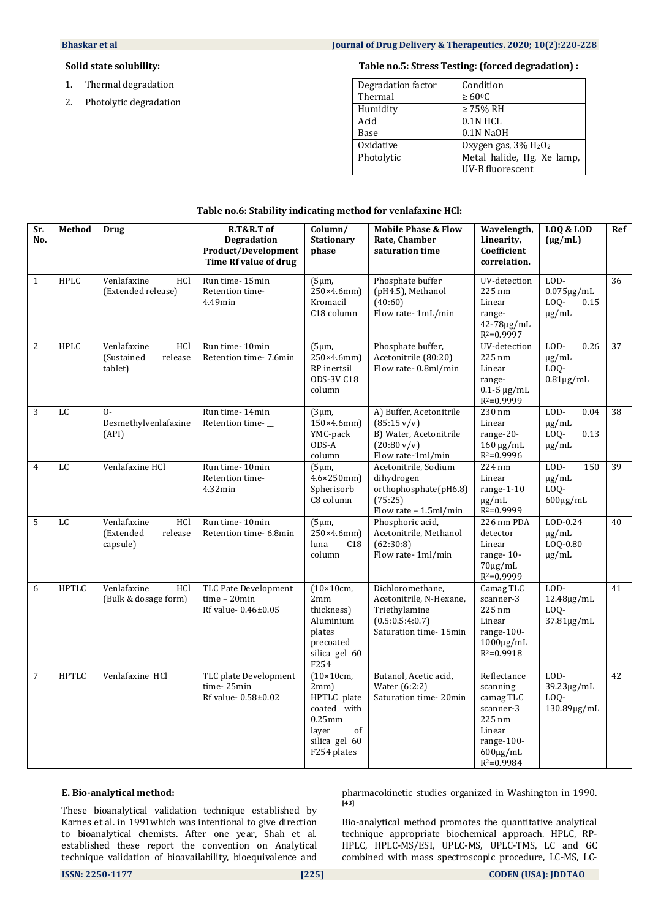#### **Solid state solubility:**

- 1. Thermal degradation
- 2. Photolytic degradation

#### **Table no.5: Stress Testing: (forced degradation) :**

| Degradation factor | Condition                                    |
|--------------------|----------------------------------------------|
| Thermal            | $\geq 60^{\circ}$ C                          |
| Humidity           | $\geq$ 75% RH                                |
| Acid               | 0.1N HCL                                     |
| Base               | 0.1N NaOH                                    |
| Oxidative          | Oxygen gas, 3% H <sub>2</sub> O <sub>2</sub> |
| Photolytic         | Metal halide, Hg, Xe lamp,                   |
|                    | UV-B fluorescent                             |

| Sr.<br>No.     | Method       | Drug                                                          | R.T&R.T of<br><b>Degradation</b><br>Product/Development<br>Time Rf value of drug | Column/<br><b>Stationary</b><br>phase                                                                                 | <b>Mobile Phase &amp; Flow</b><br>Rate, Chamber<br>saturation time                                                       | Wavelength,<br>Linearity,<br>Coefficient<br>correlation.                                             | <b>LOQ &amp; LOD</b><br>$(\mu g/mL)$                     | Ref |
|----------------|--------------|---------------------------------------------------------------|----------------------------------------------------------------------------------|-----------------------------------------------------------------------------------------------------------------------|--------------------------------------------------------------------------------------------------------------------------|------------------------------------------------------------------------------------------------------|----------------------------------------------------------|-----|
| $\overline{1}$ | <b>HPLC</b>  | HCl<br>Venlafaxine<br>(Extended release)                      | Run time-15min<br>Retention time-<br>4.49min                                     | (5µm,<br>$250\times4.6$ mm)<br>Kromacil<br>C18 column                                                                 | Phosphate buffer<br>(pH4.5), Methanol<br>(40:60)<br>Flow rate-1mL/min                                                    | UV-detection<br>225 nm<br>Linear<br>range-<br>42-78μg/mL<br>$R^2 = 0.9997$                           | LOD-<br>$0.075 \mu g/mL$<br>LOQ-<br>0.15<br>$\mu$ g/mL   | 36  |
| $\overline{2}$ | <b>HPLC</b>  | <b>HCl</b><br>Venlafaxine<br>(Sustained<br>release<br>tablet) | Run time-10min<br>Retention time- 7.6min                                         | $(5 \mu m,$<br>250×4.6mm)<br>RP inertsil<br><b>ODS-3V C18</b><br>column                                               | Phosphate buffer,<br>Acetonitrile (80:20)<br>Flow rate-0.8ml/min                                                         | UV-detection<br>225 nm<br>Linear<br>range-<br>$0.1 - 5 \mu g/mL$<br>$R^2 = 0.9999$                   | $LOD-$<br>0.26<br>$\mu$ g/mL<br>LOQ-<br>$0.81\mu$ g/mL   | 37  |
| $\overline{3}$ | LC           | $O -$<br>Desmethylvenlafaxine<br>(API)                        | Run time-14min<br>Retention time-                                                | (3µm,<br>$150\times4.6$ mm)<br>YMC-pack<br>ODS-A<br>column                                                            | A) Buffer, Acetonitrile<br>$(85:15 \text{ v/v})$<br>B) Water, Acetonitrile<br>$(20:80 \text{ v/v})$<br>Flow rate-1ml/min | $230 \text{ nm}$<br>Linear<br>range-20-<br>$160 \mu g/mL$<br>$R^2 = 0.9996$                          | LOD-<br>0.04<br>$\mu$ g/mL<br>LOQ-<br>0.13<br>$\mu$ g/mL | 38  |
| $\overline{4}$ | LC           | Venlafaxine HCl                                               | Run time-10min<br>Retention time-<br>$4.32$ min                                  | (5µm,<br>$4.6 \times 250$ mm)<br>Spherisorb<br>C8 column                                                              | Acetonitrile, Sodium<br>dihydrogen<br>orthophosphate(pH6.8)<br>(75:25)<br>Flow rate - 1.5ml/min                          | 224 nm<br>Linear<br>range- $1-10$<br>$\mu$ g/mL<br>$R^2 = 0.9999$                                    | LOD-<br>150<br>$\mu$ g/mL<br>LOQ-<br>$600\mu$ g/mL       | 39  |
| $\overline{5}$ | LC           | Venlafaxine<br>HCl<br>(Extended<br>release<br>capsule)        | Run time-10min<br>Retention time- 6.8min                                         | $(5 \mu m,$<br>$250\times4.6$ mm)<br>C18<br>luna<br>column                                                            | Phosphoric acid,<br>Acetonitrile, Methanol<br>(62:30:8)<br>Flow rate-1ml/min                                             | 226 nm PDA<br>detector<br>Linear<br>range-10-<br>$70\mu$ g/mL<br>$R^2 = 0.9999$                      | LOD-0.24<br>$\mu$ g/mL<br>LOQ-0.80<br>$\mu$ g/mL         | 40  |
| 6              | <b>HPTLC</b> | Venlafaxine<br>HCl<br>(Bulk & dosage form)                    | <b>TLC Pate Development</b><br>$time - 20min$<br>Rf value-0.46±0.05              | $(10\times10cm,$<br>2mm<br>thickness)<br>Aluminium<br>plates<br>precoated<br>silica gel 60<br>F254                    | Dichloromethane,<br>Acetonitrile, N-Hexane,<br>Triethylamine<br>(0.5:0.5:4:0.7)<br>Saturation time- 15min                | Camag TLC<br>scanner-3<br>225 nm<br>Linear<br>range- $100-$<br>$1000 \mu g/mL$<br>$R^2 = 0.9918$     | LOD-<br>$12.48\mu g/mL$<br>LOQ-<br>37.81µg/mL            | 41  |
| 7              | <b>HPTLC</b> | Venlafaxine HCl                                               | TLC plate Development<br>time-25min<br>Rf value- 0.58±0.02                       | $(10\times10cm)$<br>$2mm$ )<br>HPTLC plate<br>coated with<br>$0.25$ mm<br>laver<br>of<br>silica gel 60<br>F254 plates | Butanol, Acetic acid,<br>Water (6:2:2)<br>Saturation time-20min                                                          | Reflectance<br>scanning<br>camag TLC<br>scanner-3<br>225 nm<br>Linear<br>range-100-<br>$600\mu g/mL$ | LOD-<br>39.23µg/mL<br>LOO-<br>130.89µg/mL                | 42  |

#### **Table no.6: Stability indicating method for venlafaxine HCl:**

#### **E. Bio-analytical method:**

These bioanalytical validation technique established by Karnes et al. in 1991which was intentional to give direction to bioanalytical chemists. After one year, Shah et al. established these report the convention on Analytical technique validation of bioavailability, bioequivalence and pharmacokinetic studies organized in Washington in 1990. **[43]**

 $R^2 = 0.9984$ 

Bio-analytical method promotes the quantitative analytical technique appropriate biochemical approach. HPLC, RP-HPLC, HPLC-MS/ESI, UPLC-MS, UPLC-TMS, LC and GC combined with mass spectroscopic procedure, LC-MS, LC-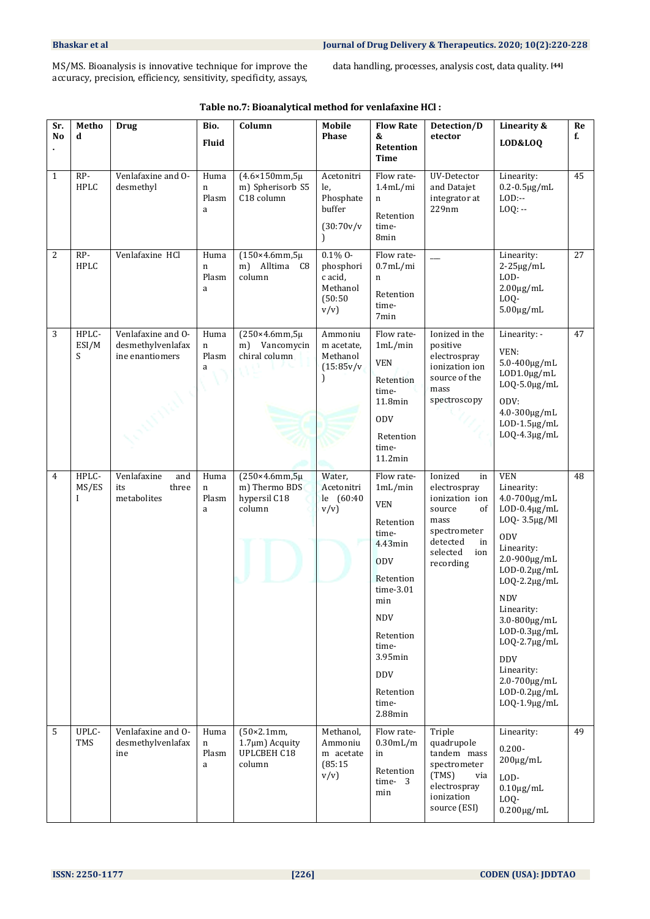MS/MS. Bioanalysis is innovative technique for improve the accuracy, precision, efficiency, sensitivity, specificity, assays, data handling, processes, analysis cost, data quality. **[44]**

| Sr.<br>N <sub>0</sub> | Metho<br>d                    | <b>Drug</b>                                                | Bio.<br><b>Fluid</b>    | Column                                                                 | <b>Mobile</b><br><b>Phase</b>                                         | <b>Flow Rate</b><br>&<br><b>Retention</b>                                                                                                                                                                               | Detection/D<br>etector                                                                                                                    | Linearity &<br>LOD&LOQ                                                                                                                                                                                                                                                                                                                                  | Re<br>f. |
|-----------------------|-------------------------------|------------------------------------------------------------|-------------------------|------------------------------------------------------------------------|-----------------------------------------------------------------------|-------------------------------------------------------------------------------------------------------------------------------------------------------------------------------------------------------------------------|-------------------------------------------------------------------------------------------------------------------------------------------|---------------------------------------------------------------------------------------------------------------------------------------------------------------------------------------------------------------------------------------------------------------------------------------------------------------------------------------------------------|----------|
| $\mathbf{1}$          | RP-<br><b>HPLC</b>            | Venlafaxine and O-<br>desmethyl                            | Huma<br>n<br>Plasm<br>a | $(4.6 \times 150$ mm, 5µ<br>m) Spherisorb S5<br>C <sub>18</sub> column | Acetonitri<br>le,<br>Phosphate<br>buffer<br>(30:70v/v<br><sup>1</sup> | <b>Time</b><br>Flow rate-<br>1.4mL/min<br>n<br>Retention<br>time-<br>8min                                                                                                                                               | UV-Detector<br>and Datajet<br>integrator at<br>229nm                                                                                      | Linearity:<br>$0.2 - 0.5 \mu g/mL$<br>$LOD$ :--<br>$LOQ: -$                                                                                                                                                                                                                                                                                             | 45       |
| 2                     | RP-<br><b>HPLC</b>            | Venlafaxine HCl                                            | Huma<br>n<br>Plasm<br>a | $(150\times4.6$ mm, 5µ<br>Alltima C8<br>m)<br>column                   | $0.1\%$ 0-<br>phosphori<br>c acid,<br>Methanol<br>(50:50)<br>v/v      | Flow rate-<br>$0.7$ mL/mi<br>n<br>Retention<br>time-<br>7 <sub>min</sub>                                                                                                                                                |                                                                                                                                           | Linearity:<br>$2-25\mu g/mL$<br>LOD-<br>$2.00 \mu g/mL$<br>LOQ-<br>$5.00 \mu g/mL$                                                                                                                                                                                                                                                                      | 27       |
| 3                     | HPLC-<br>ESI/M<br>S           | Venlafaxine and O-<br>desmethylvenlafax<br>ine enantiomers | Huma<br>n<br>Plasm<br>a | $(250\times4.6$ mm, $5\mu$<br>Vancomycin<br>m)<br>chiral column        | Ammoniu<br>m acetate,<br>Methanol<br>(15:85v/v<br>$\mathcal{E}$       | Flow rate-<br>1mL/min<br><b>VEN</b><br>Retention<br>time-<br>11.8min<br><b>ODV</b><br>Retention<br>time-<br>11.2min                                                                                                     | Ionized in the<br>positive<br>electrospray<br>ionization ion<br>source of the<br>mass<br>spectroscopy                                     | Linearity: -<br>VEN:<br>$5.0 - 400 \mu g/mL$<br>$LOD1.0 \mu g/mL$<br>$LOQ-5.0 \mu g/mL$<br>ODV:<br>4.0-300μg/mL<br>$LOD-1.5\mu g/mL$<br>$LOQ-4.3\mu g/mL$                                                                                                                                                                                               | 47       |
| 4                     | HPLC-<br>MS/ES<br>$\mathbf I$ | Venlafaxine<br>and<br>its<br>three<br>metabolites          | Huma<br>n<br>Plasm<br>a | $(250\times4.6$ mm, 5µ<br>m) Thermo BDS<br>hypersil C18<br>column      | Water,<br>Acetonitri<br>le (60:40<br>v/v                              | Flow rate-<br>1mL/min<br><b>VEN</b><br>Retention<br>time-<br>4.43min<br><b>ODV</b><br>Retention<br>time-3.01<br>min<br><b>NDV</b><br>Retention<br>time-<br>$3.95$ min<br><b>DDV</b><br>Retention<br>time-<br>$2.88$ min | Ionized<br>in<br>electrospray<br>ionization ion<br>source<br>of<br>mass<br>spectrometer<br>detected<br>in<br>selected<br>ion<br>recording | <b>VEN</b><br>Linearity:<br>4.0-700μg/mL<br>$LOD-0.4\mu g/mL$<br>LOQ-3.5µg/Ml<br><b>ODV</b><br>Linearity:<br>2.0-900µg/mL<br>$LOD-0.2\mu g/mL$<br>$LOQ-2.2\mu g/mL$<br><b>NDV</b><br>Linearity:<br>3.0-800µg/mL<br>$LOD-0.3\mu g/mL$<br>$LOQ-2.7\mu g/mL$<br><b>DDV</b><br>Linearity:<br>$2.0 - 700 \mu g/mL$<br>$LOD-0.2\mu g/mL$<br>$LOQ-1.9\mu g/mL$ | 48       |
| 5                     | UPLC-<br>TMS                  | Venlafaxine and O-<br>desmethylvenlafax<br>ine             | Huma<br>n<br>Plasm<br>a | (50×2.1mm,<br>$1.7 \mu m$ ) Acquity<br>UPLCBEH C18<br>column           | Methanol,<br>Ammoniu<br>m acetate<br>(85:15)<br>v/v                   | Flow rate-<br>$0.30$ mL/m<br>in<br>Retention<br>time-3<br>min                                                                                                                                                           | Triple<br>quadrupole<br>tandem mass<br>spectrometer<br>(TMS)<br>via<br>electrospray<br>ionization<br>source (ESI)                         | Linearity:<br>$0.200 -$<br>$200 \mu g/mL$<br>LOD-<br>$0.10 \mu g/mL$<br>LOQ-<br>$0.200 \mu g/mL$                                                                                                                                                                                                                                                        | 49       |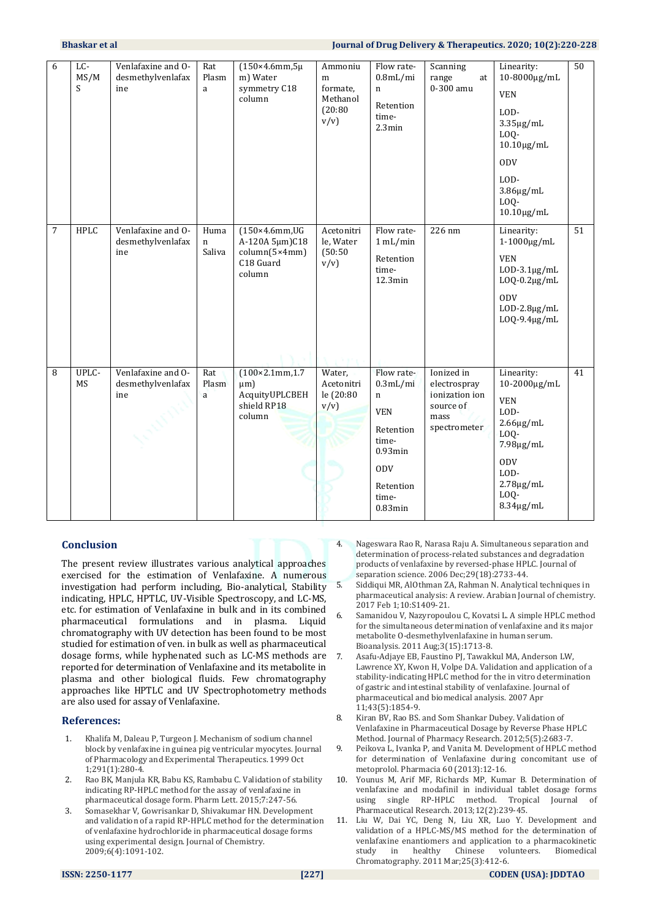| 6 | LC-<br>MS/M<br>S | Venlafaxine and O-<br>desmethylvenlafax<br>ine | Rat<br>Plasm<br>a   | $(150\times4.6$ mm, $5\mu$<br>m) Water<br>symmetry C18<br>column                 | Ammoniu<br>m<br>formate,<br>Methanol<br>(20:80)<br>v/v | Flow rate-<br>$0.8$ mL/mi<br>n<br>Retention<br>time-<br>2.3min                                                                     | Scanning<br>range<br>at<br>0-300 amu                                              | Linearity:<br>10-8000μg/mL<br><b>VEN</b><br>LOD-<br>$3.35\mu g/mL$<br>LOQ-<br>$10.10 \mu g/mL$<br><b>ODV</b><br>LOD-<br>$3.86\mu g/mL$<br>LOQ-<br>$10.10 \mu g/mL$ | 50 |
|---|------------------|------------------------------------------------|---------------------|----------------------------------------------------------------------------------|--------------------------------------------------------|------------------------------------------------------------------------------------------------------------------------------------|-----------------------------------------------------------------------------------|--------------------------------------------------------------------------------------------------------------------------------------------------------------------|----|
| 7 | HPLC             | Venlafaxine and O-<br>desmethylvenlafax<br>ine | Huma<br>n<br>Saliva | $(150\times4.6$ mm, UG<br>A-120A 5µm)C18<br>column(5×4mm)<br>C18 Guard<br>column | Acetonitri<br>le, Water<br>(50:50)<br>v/v              | Flow rate-<br>1 mL/min<br>Retention<br>time-<br>12.3min                                                                            | 226 nm                                                                            | Linearity:<br>$1-1000\mu g/mL$<br><b>VEN</b><br>$LOD-3.1\mu g/mL$<br>$LOQ-0.2\mu g/mL$<br><b>ODV</b><br>$LOD-2.8\mu g/mL$<br>$LOQ-9.4\mu g/mL$                     | 51 |
| 8 | UPLC-<br>MS      | Venlafaxine and O-<br>desmethylvenlafax<br>ine | Rat<br>Plasm<br>a   | $(100 \times 2.1$ mm, 1.7<br>$\mu$ m)<br>AcquityUPLCBEH<br>shield RP18<br>column | Water,<br>Acetonitri<br>le (20:80<br>v/v               | Flow rate-<br>$0.3$ mL/mi<br>n<br><b>VEN</b><br>Retention<br>time-<br>$0.93$ min<br><b>ODV</b><br>Retention<br>time-<br>$0.83$ min | Ionized in<br>electrospray<br>ionization ion<br>source of<br>mass<br>spectrometer | Linearity:<br>10-2000μg/mL<br><b>VEN</b><br>LOD-<br>$2.66\mu g/mL$<br>LOQ-<br>7.98µg/mL<br><b>ODV</b><br>LOD-<br>$2.78\mu g/mL$<br>LOQ-<br>$8.34\mu g/mL$          | 41 |

#### **Conclusion**

The present review illustrates various analytical approaches exercised for the estimation of Venlafaxine. A numerous investigation had perform including, Bio-analytical, Stability indicating, HPLC, HPTLC, UV-Visible Spectroscopy, and LC-MS, etc. for estimation of Venlafaxine in bulk and in its combined pharmaceutical formulations and in plasma. Liquid chromatography with UV detection has been found to be most studied for estimation of ven. in bulk as well as pharmaceutical dosage forms, while hyphenated such as LC-MS methods are reported for determination of Venlafaxine and its metabolite in plasma and other biological fluids. Few chromatography approaches like HPTLC and UV Spectrophotometry methods are also used for assay of Venlafaxine.

#### **References:**

- 1. Khalifa M, Daleau P, Turgeon J. Mechanism of sodium channel block by venlafaxine in guinea pig ventricular myocytes. Journal of Pharmacology and Experimental Therapeutics. 1999 Oct 1;291(1):280-4.
- 2. Rao BK, Manjula KR, Babu KS, Rambabu C. Validation of stability indicating RP-HPLC method for the assay of venlafaxine in pharmaceutical dosage form. Pharm Lett. 2015;7:247-56.
- 3. Somasekhar V, Gowrisankar D, Shivakumar HN. Development and validation of a rapid RP-HPLC method for the determination of venlafaxine hydrochloride in pharmaceutical dosage forms using experimental design. Journal of Chemistry. 2009;6(4):1091-102.
- 4. Nageswara Rao R, Narasa Raju A. Simultaneous separation and determination of process‐related substances and degradation products of venlafaxine by reversed‐phase HPLC. Journal of separation science. 2006 Dec;29(18):2733-44.
- 5. Siddiqui MR, AlOthman ZA, Rahman N. Analytical techniques in pharmaceutical analysis: A review. Arabian Journal of chemistry. 2017 Feb 1;10:S1409-21.
- 6. Samanidou V, Nazyropoulou C, Kovatsi L. A simple HPLC method for the simultaneous determination of venlafaxine and its major metabolite O-desmethylvenlafaxine in human serum. Bioanalysis. 2011 Aug;3(15):1713-8.
- 7. Asafu-Adjaye EB, Faustino PJ, Tawakkul MA, Anderson LW, Lawrence XY, Kwon H, Volpe DA. Validation and application of a stability-indicating HPLC method for the in vitro determination of gastric and intestinal stability of venlafaxine. Journal of pharmaceutical and biomedical analysis. 2007 Apr 11;43(5):1854-9.
- 8. Kiran BV, Rao BS. and Som Shankar Dubey. Validation of Venlafaxine in Pharmaceutical Dosage by Reverse Phase HPLC Method. Journal of Pharmacy Research. 2012;5(5):2683-7.
- 9. Peikova L, Ivanka P, and Vanita M. Development of HPLC method for determination of Venlafaxine during concomitant use of metoprolol. Pharmacia 60 (2013):12-16.
- 10. Younus M, Arif MF, Richards MP, Kumar B. Determination of venlafaxine and modafinil in individual tablet dosage forms using single RP-HPLC method. Tropical Journal of Pharmaceutical Research. 2013;12(2):239-45.
- 11. Liu W, Dai YC, Deng N, Liu XR, Luo Y. Development and validation of a HPLC‐MS/MS method for the determination of venlafaxine enantiomers and application to a pharmacokinetic study in healthy Chinese volunteers. Biomedical Chromatography. 2011 Mar;25(3):412-6.